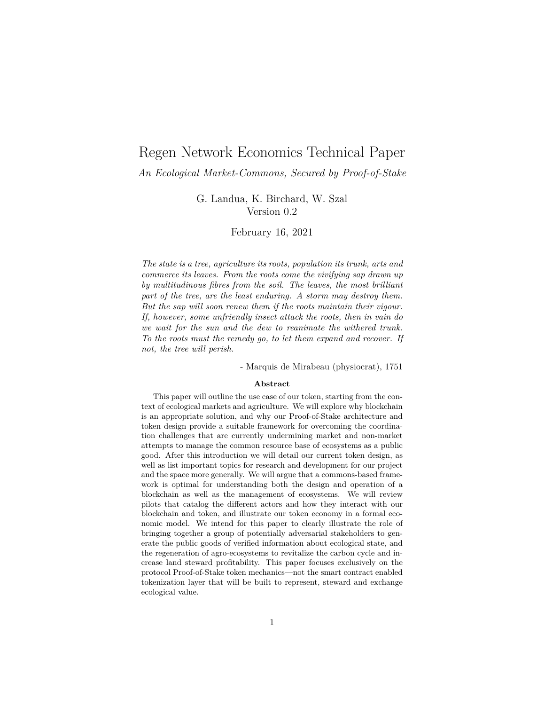# Regen Network Economics Technical Paper

### *An Ecological Market-Commons, Secured by Proof-of-Stake*

G. Landua, K. Birchard, W. Szal Version 0.2

#### February 16, 2021

*The state is a tree, agriculture its roots, population its trunk, arts and commerce its leaves. From the roots come the vivifying sap drawn up by multitudinous fibres from the soil. The leaves, the most brilliant part of the tree, are the least enduring. A storm may destroy them. But the sap will soon renew them if the roots maintain their vigour. If, however, some unfriendly insect attack the roots, then in vain do we wait for the sun and the dew to reanimate the withered trunk. To the roots must the remedy go, to let them expand and recover. If not, the tree will perish.*

- Marquis de Mirabeau (physiocrat), 1751

#### **Abstract**

This paper will outline the use case of our token, starting from the context of ecological markets and agriculture. We will explore why blockchain is an appropriate solution, and why our Proof-of-Stake architecture and token design provide a suitable framework for overcoming the coordination challenges that are currently undermining market and non-market attempts to manage the common resource base of ecosystems as a public good. After this introduction we will detail our current token design, as well as list important topics for research and development for our project and the space more generally. We will argue that a commons-based framework is optimal for understanding both the design and operation of a blockchain as well as the management of ecosystems. We will review pilots that catalog the different actors and how they interact with our blockchain and token, and illustrate our token economy in a formal economic model. We intend for this paper to clearly illustrate the role of bringing together a group of potentially adversarial stakeholders to generate the public goods of verified information about ecological state, and the regeneration of agro-ecosystems to revitalize the carbon cycle and increase land steward profitability. This paper focuses exclusively on the protocol Proof-of-Stake token mechanics—not the smart contract enabled tokenization layer that will be built to represent, steward and exchange ecological value.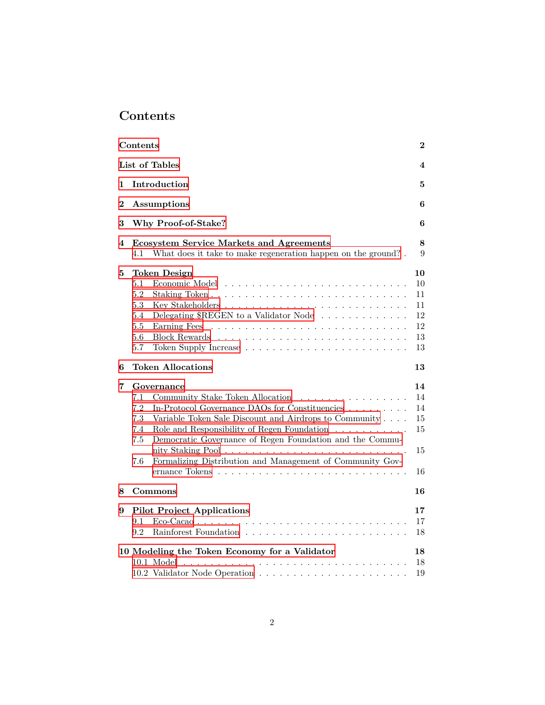# <span id="page-1-0"></span>**Contents**

|   | Contents                                                                                                                                                                                                                                                                                                                                                                                                           | $\bf{2}$                                     |
|---|--------------------------------------------------------------------------------------------------------------------------------------------------------------------------------------------------------------------------------------------------------------------------------------------------------------------------------------------------------------------------------------------------------------------|----------------------------------------------|
|   | List of Tables                                                                                                                                                                                                                                                                                                                                                                                                     | 4                                            |
| 1 | Introduction                                                                                                                                                                                                                                                                                                                                                                                                       | 5                                            |
| 2 | Assumptions                                                                                                                                                                                                                                                                                                                                                                                                        | 6                                            |
| 3 | Why Proof-of-Stake?                                                                                                                                                                                                                                                                                                                                                                                                | 6                                            |
| 4 | <b>Ecosystem Service Markets and Agreements</b><br>What does it take to make regeneration happen on the ground?.<br>4.1                                                                                                                                                                                                                                                                                            | 8<br>9                                       |
| 5 | <b>Token Design</b><br>5.1<br>Economic Model<br>5.2<br>5.3<br>Delegating \$REGEN to a Validator Node<br>5.4<br>5.5<br>Earning Fees<br>5.6<br>5.7                                                                                                                                                                                                                                                                   | 10<br>10<br>11<br>11<br>12<br>12<br>13<br>13 |
| 6 | <b>Token Allocations</b>                                                                                                                                                                                                                                                                                                                                                                                           | 13                                           |
| 7 | Governance<br>7.1<br>Community Stake Token Allocation<br>.<br>7.2<br>In-Protocol Governance DAOs for Constituencies<br>7.3<br>Variable Token Sale Discount and Airdrops to Community<br>Role and Responsibility of Regen Foundation<br>7.4<br>7.5<br>Democratic Governance of Regen Foundation and the Commu-<br>nity Staking Pool<br>$\ddots$<br>Formalizing Distribution and Management of Community Gov-<br>7.6 | 14<br>14<br>14<br>15<br>15<br>15<br>16       |
| 8 | Commons                                                                                                                                                                                                                                                                                                                                                                                                            | 16                                           |
| 9 | <b>Pilot Project Applications</b><br>9.1<br>9.2                                                                                                                                                                                                                                                                                                                                                                    | 17<br>17<br>18                               |
|   | 10 Modeling the Token Economy for a Validator<br>10.1 Model                                                                                                                                                                                                                                                                                                                                                        | 18<br>18                                     |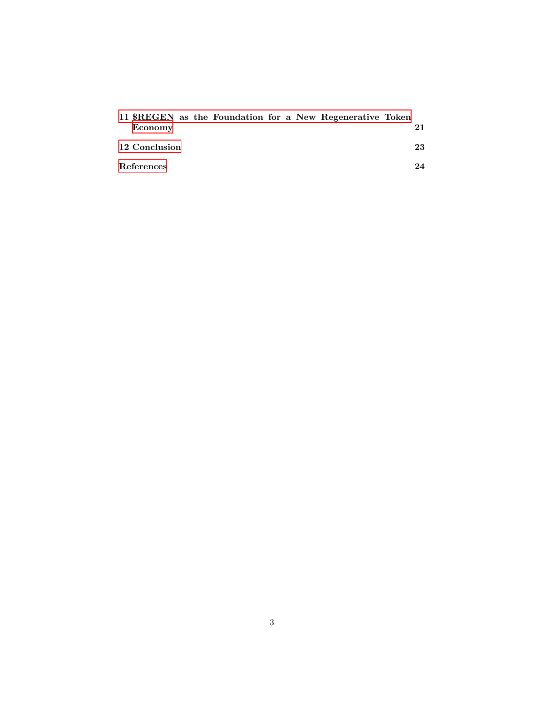|               |  |  |  | 11 \$REGEN as the Foundation for a New Regenerative Token |    |
|---------------|--|--|--|-----------------------------------------------------------|----|
| Economy       |  |  |  |                                                           |    |
| 12 Conclusion |  |  |  |                                                           | 23 |
| References    |  |  |  |                                                           | 24 |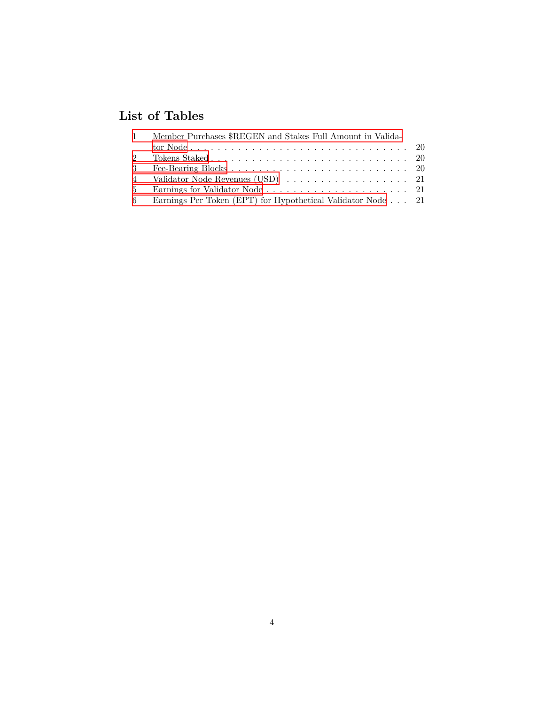# <span id="page-3-0"></span>**List of Tables**

| $\mathbf{1}$ | Member Purchases \$REGEN and Stakes Full Amount in Valida-  |  |
|--------------|-------------------------------------------------------------|--|
|              |                                                             |  |
| 2            |                                                             |  |
| $3 -$        |                                                             |  |
|              |                                                             |  |
|              |                                                             |  |
| 6 —          | Earnings Per Token (EPT) for Hypothetical Validator Node 21 |  |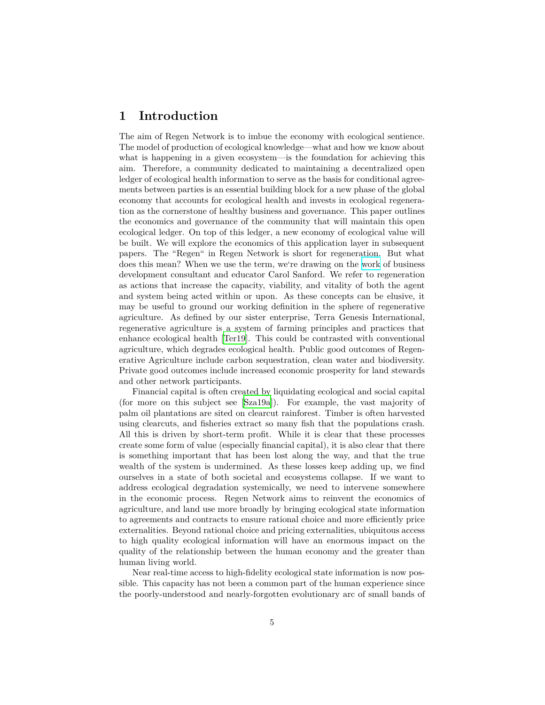# <span id="page-4-0"></span>**1 Introduction**

The aim of Regen Network is to imbue the economy with ecological sentience. The model of production of ecological knowledge—what and how we know about what is happening in a given ecosystem—is the foundation for achieving this aim. Therefore, a community dedicated to maintaining a decentralized open ledger of ecological health information to serve as the basis for conditional agreements between parties is an essential building block for a new phase of the global economy that accounts for ecological health and invests in ecological regeneration as the cornerstone of healthy business and governance. This paper outlines the economics and governance of the community that will maintain this open ecological ledger. On top of this ledger, a new economy of ecological value will be built. We will explore the economics of this application layer in subsequent papers. The "Regen" in Regen Network is short for regeneration. But what does this mean? When we use the term, we're drawing on the [work](https://carolsanfordinstitute.com/what-is-regeneration-part-1/) of business development consultant and educator Carol Sanford. We refer to regeneration as actions that increase the capacity, viability, and vitality of both the agent and system being acted within or upon. As these concepts can be elusive, it may be useful to ground our working definition in the sphere of regenerative agriculture. As defined by our sister enterprise, Terra Genesis International, regenerative agriculture is a system of farming principles and practices that enhance ecological health [\[Ter19\]](#page-24-0). This could be contrasted with conventional agriculture, which degrades ecological health. Public good outcomes of Regenerative Agriculture include carbon sequestration, clean water and biodiversity. Private good outcomes include increased economic prosperity for land stewards and other network participants.

Financial capital is often created by liquidating ecological and social capital (for more on this subject see [\[Sza19a](#page-24-1)]). For example, the vast majority of palm oil plantations are sited on clearcut rainforest. Timber is often harvested using clearcuts, and fisheries extract so many fish that the populations crash. All this is driven by short-term profit. While it is clear that these processes create some form of value (especially financial capital), it is also clear that there is something important that has been lost along the way, and that the true wealth of the system is undermined. As these losses keep adding up, we find ourselves in a state of both societal and ecosystems collapse. If we want to address ecological degradation systemically, we need to intervene somewhere in the economic process. Regen Network aims to reinvent the economics of agriculture, and land use more broadly by bringing ecological state information to agreements and contracts to ensure rational choice and more efficiently price externalities. Beyond rational choice and pricing externalities, ubiquitous access to high quality ecological information will have an enormous impact on the quality of the relationship between the human economy and the greater than human living world.

Near real-time access to high-fidelity ecological state information is now possible. This capacity has not been a common part of the human experience since the poorly-understood and nearly-forgotten evolutionary arc of small bands of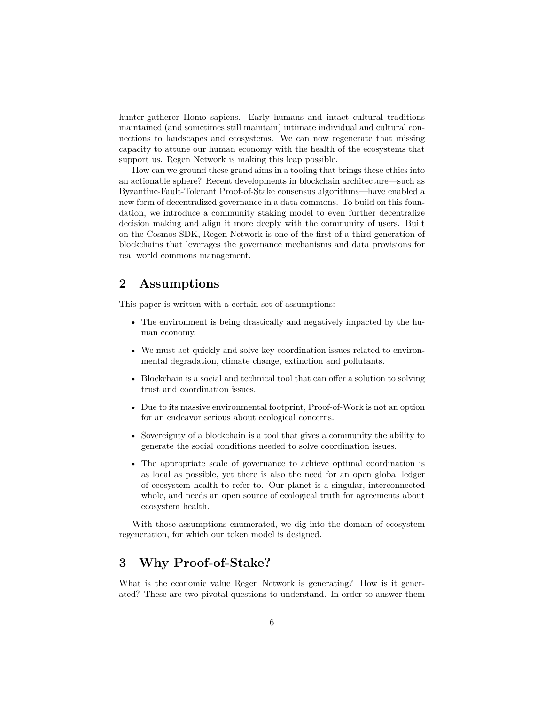hunter-gatherer Homo sapiens. Early humans and intact cultural traditions maintained (and sometimes still maintain) intimate individual and cultural connections to landscapes and ecosystems. We can now regenerate that missing capacity to attune our human economy with the health of the ecosystems that support us. Regen Network is making this leap possible.

How can we ground these grand aims in a tooling that brings these ethics into an actionable sphere? Recent developments in blockchain architecture—such as Byzantine-Fault-Tolerant Proof-of-Stake consensus algorithms—have enabled a new form of decentralized governance in a data commons. To build on this foundation, we introduce a community staking model to even further decentralize decision making and align it more deeply with the community of users. Built on the Cosmos SDK, Regen Network is one of the first of a third generation of blockchains that leverages the governance mechanisms and data provisions for real world commons management.

# <span id="page-5-0"></span>**2 Assumptions**

This paper is written with a certain set of assumptions:

- The environment is being drastically and negatively impacted by the human economy.
- We must act quickly and solve key coordination issues related to environmental degradation, climate change, extinction and pollutants.
- Blockchain is a social and technical tool that can offer a solution to solving trust and coordination issues.
- Due to its massive environmental footprint, Proof-of-Work is not an option for an endeavor serious about ecological concerns.
- Sovereignty of a blockchain is a tool that gives a community the ability to generate the social conditions needed to solve coordination issues.
- The appropriate scale of governance to achieve optimal coordination is as local as possible, yet there is also the need for an open global ledger of ecosystem health to refer to. Our planet is a singular, interconnected whole, and needs an open source of ecological truth for agreements about ecosystem health.

With those assumptions enumerated, we dig into the domain of ecosystem regeneration, for which our token model is designed.

# <span id="page-5-1"></span>**3 Why Proof-of-Stake?**

What is the economic value Regen Network is generating? How is it generated? These are two pivotal questions to understand. In order to answer them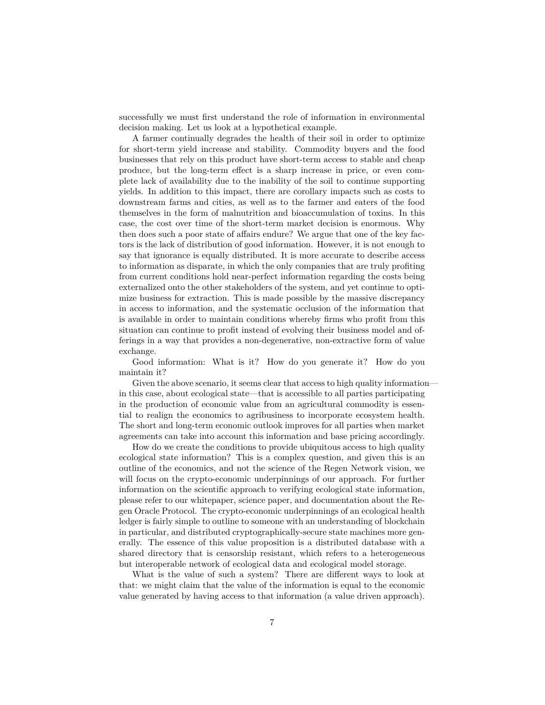successfully we must first understand the role of information in environmental decision making. Let us look at a hypothetical example.

A farmer continually degrades the health of their soil in order to optimize for short-term yield increase and stability. Commodity buyers and the food businesses that rely on this product have short-term access to stable and cheap produce, but the long-term effect is a sharp increase in price, or even complete lack of availability due to the inability of the soil to continue supporting yields. In addition to this impact, there are corollary impacts such as costs to downstream farms and cities, as well as to the farmer and eaters of the food themselves in the form of malnutrition and bioaccumulation of toxins. In this case, the cost over time of the short-term market decision is enormous. Why then does such a poor state of affairs endure? We argue that one of the key factors is the lack of distribution of good information. However, it is not enough to say that ignorance is equally distributed. It is more accurate to describe access to information as disparate, in which the only companies that are truly profiting from current conditions hold near-perfect information regarding the costs being externalized onto the other stakeholders of the system, and yet continue to optimize business for extraction. This is made possible by the massive discrepancy in access to information, and the systematic occlusion of the information that is available in order to maintain conditions whereby firms who profit from this situation can continue to profit instead of evolving their business model and offerings in a way that provides a non-degenerative, non-extractive form of value exchange.

Good information: What is it? How do you generate it? How do you maintain it?

Given the above scenario, it seems clear that access to high quality information in this case, about ecological state—that is accessible to all parties participating in the production of economic value from an agricultural commodity is essential to realign the economics to agribusiness to incorporate ecosystem health. The short and long-term economic outlook improves for all parties when market agreements can take into account this information and base pricing accordingly.

How do we create the conditions to provide ubiquitous access to high quality ecological state information? This is a complex question, and given this is an outline of the economics, and not the science of the Regen Network vision, we will focus on the crypto-economic underpinnings of our approach. For further information on the scientific approach to verifying ecological state information, please refer to our whitepaper, science paper, and documentation about the Regen Oracle Protocol. The crypto-economic underpinnings of an ecological health ledger is fairly simple to outline to someone with an understanding of blockchain in particular, and distributed cryptographically-secure state machines more generally. The essence of this value proposition is a distributed database with a shared directory that is censorship resistant, which refers to a heterogeneous but interoperable network of ecological data and ecological model storage.

What is the value of such a system? There are different ways to look at that: we might claim that the value of the information is equal to the economic value generated by having access to that information (a value driven approach).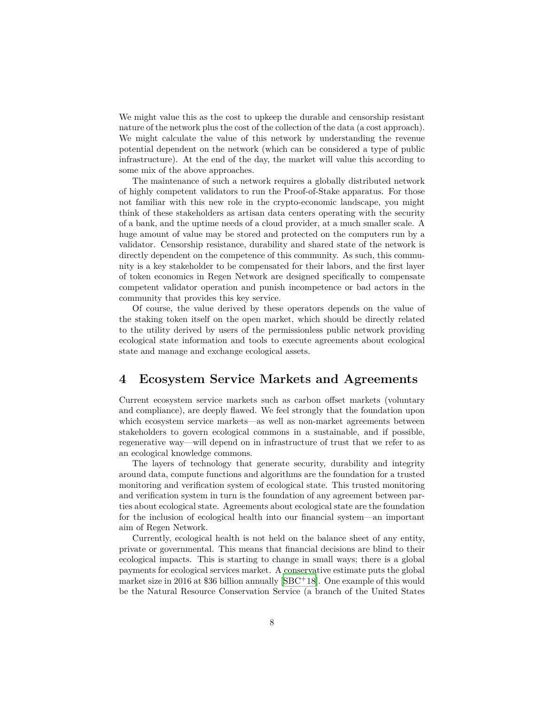We might value this as the cost to upkeep the durable and censorship resistant nature of the network plus the cost of the collection of the data (a cost approach). We might calculate the value of this network by understanding the revenue potential dependent on the network (which can be considered a type of public infrastructure). At the end of the day, the market will value this according to some mix of the above approaches.

The maintenance of such a network requires a globally distributed network of highly competent validators to run the Proof-of-Stake apparatus. For those not familiar with this new role in the crypto-economic landscape, you might think of these stakeholders as artisan data centers operating with the security of a bank, and the uptime needs of a cloud provider, at a much smaller scale. A huge amount of value may be stored and protected on the computers run by a validator. Censorship resistance, durability and shared state of the network is directly dependent on the competence of this community. As such, this community is a key stakeholder to be compensated for their labors, and the first layer of token economics in Regen Network are designed specifically to compensate competent validator operation and punish incompetence or bad actors in the community that provides this key service.

Of course, the value derived by these operators depends on the value of the staking token itself on the open market, which should be directly related to the utility derived by users of the permissionless public network providing ecological state information and tools to execute agreements about ecological state and manage and exchange ecological assets.

## <span id="page-7-0"></span>**4 Ecosystem Service Markets and Agreements**

Current ecosystem service markets such as carbon offset markets (voluntary and compliance), are deeply flawed. We feel strongly that the foundation upon which ecosystem service markets—as well as non-market agreements between stakeholders to govern ecological commons in a sustainable, and if possible, regenerative way—will depend on in infrastructure of trust that we refer to as an ecological knowledge commons.

The layers of technology that generate security, durability and integrity around data, compute functions and algorithms are the foundation for a trusted monitoring and verification system of ecological state. This trusted monitoring and verification system in turn is the foundation of any agreement between parties about ecological state. Agreements about ecological state are the foundation for the inclusion of ecological health into our financial system—an important aim of Regen Network.

Currently, ecological health is not held on the balance sheet of any entity, private or governmental. This means that financial decisions are blind to their ecological impacts. This is starting to change in small ways; there is a global payments for ecological services market. A conservative estimate puts the global market size in 2016 at \$36 billion annually  $[SBC^+18]$ . One example of this would be the Natural Resource Conservation Service (a branch of the United States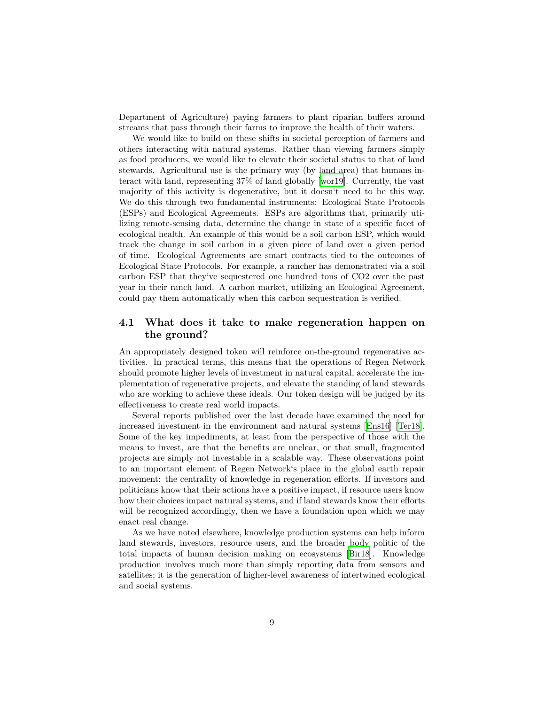Department of Agriculture) paying farmers to plant riparian buffers around streams that pass through their farms to improve the health of their waters.

We would like to build on these shifts in societal perception of farmers and others interacting with natural systems. Rather than viewing farmers simply as food producers, we would like to elevate their societal status to that of land stewards. Agricultural use is the primary way (by land area) that humans interact with land, representing 37% of land globally [\[wor19\]](#page-24-2). Currently, the vast majority of this activity is degenerative, but it doesn't need to be this way. We do this through two fundamental instruments: Ecological State Protocols (ESPs) and Ecological Agreements. ESPs are algorithms that, primarily utilizing remote-sensing data, determine the change in state of a specific facet of ecological health. An example of this would be a soil carbon ESP, which would track the change in soil carbon in a given piece of land over a given period of time. Ecological Agreements are smart contracts tied to the outcomes of Ecological State Protocols. For example, a rancher has demonstrated via a soil carbon ESP that they've sequestered one hundred tons of CO2 over the past year in their ranch land. A carbon market, utilizing an Ecological Agreement, could pay them automatically when this carbon sequestration is verified.

### <span id="page-8-0"></span>**4.1 What does it take to make regeneration happen on the ground?**

An appropriately designed token will reinforce on-the-ground regenerative activities. In practical terms, this means that the operations of Regen Network should promote higher levels of investment in natural capital, accelerate the implementation of regenerative projects, and elevate the standing of land stewards who are working to achieve these ideals. Our token design will be judged by its effectiveness to create real world impacts.

Several reports published over the last decade have examined the need for increased investment in the environment and natural systems [[Ens16\]](#page-23-2) [\[Ter18\]](#page-24-3). Some of the key impediments, at least from the perspective of those with the means to invest, are that the benefits are unclear, or that small, fragmented projects are simply not investable in a scalable way. These observations point to an important element of Regen Network's place in the global earth repair movement: the centrality of knowledge in regeneration efforts. If investors and politicians know that their actions have a positive impact, if resource users know how their choices impact natural systems, and if land stewards know their efforts will be recognized accordingly, then we have a foundation upon which we may enact real change.

As we have noted elsewhere, knowledge production systems can help inform land stewards, investors, resource users, and the broader body politic of the total impacts of human decision making on ecosystems [[Bir18](#page-23-3)]. Knowledge production involves much more than simply reporting data from sensors and satellites; it is the generation of higher-level awareness of intertwined ecological and social systems.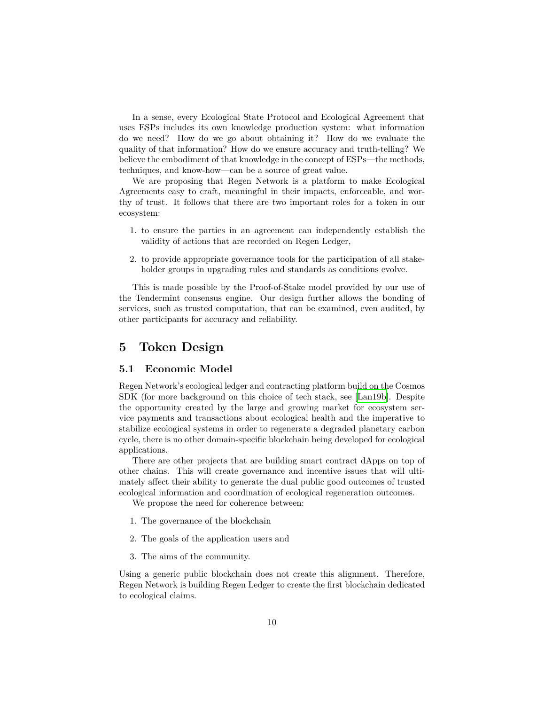In a sense, every Ecological State Protocol and Ecological Agreement that uses ESPs includes its own knowledge production system: what information do we need? How do we go about obtaining it? How do we evaluate the quality of that information? How do we ensure accuracy and truth-telling? We believe the embodiment of that knowledge in the concept of ESPs—the methods, techniques, and know-how—can be a source of great value.

We are proposing that Regen Network is a platform to make Ecological Agreements easy to craft, meaningful in their impacts, enforceable, and worthy of trust. It follows that there are two important roles for a token in our ecosystem:

- 1. to ensure the parties in an agreement can independently establish the validity of actions that are recorded on Regen Ledger,
- 2. to provide appropriate governance tools for the participation of all stakeholder groups in upgrading rules and standards as conditions evolve.

This is made possible by the Proof-of-Stake model provided by our use of the Tendermint consensus engine. Our design further allows the bonding of services, such as trusted computation, that can be examined, even audited, by other participants for accuracy and reliability.

## <span id="page-9-0"></span>**5 Token Design**

#### <span id="page-9-1"></span>**5.1 Economic Model**

Regen Network's ecological ledger and contracting platform build on the Cosmos SDK (for more background on this choice of tech stack, see [[Lan19b](#page-23-4)]. Despite the opportunity created by the large and growing market for ecosystem service payments and transactions about ecological health and the imperative to stabilize ecological systems in order to regenerate a degraded planetary carbon cycle, there is no other domain-specific blockchain being developed for ecological applications.

There are other projects that are building smart contract dApps on top of other chains. This will create governance and incentive issues that will ultimately affect their ability to generate the dual public good outcomes of trusted ecological information and coordination of ecological regeneration outcomes.

We propose the need for coherence between:

- 1. The governance of the blockchain
- 2. The goals of the application users and
- 3. The aims of the community.

Using a generic public blockchain does not create this alignment. Therefore, Regen Network is building Regen Ledger to create the first blockchain dedicated to ecological claims.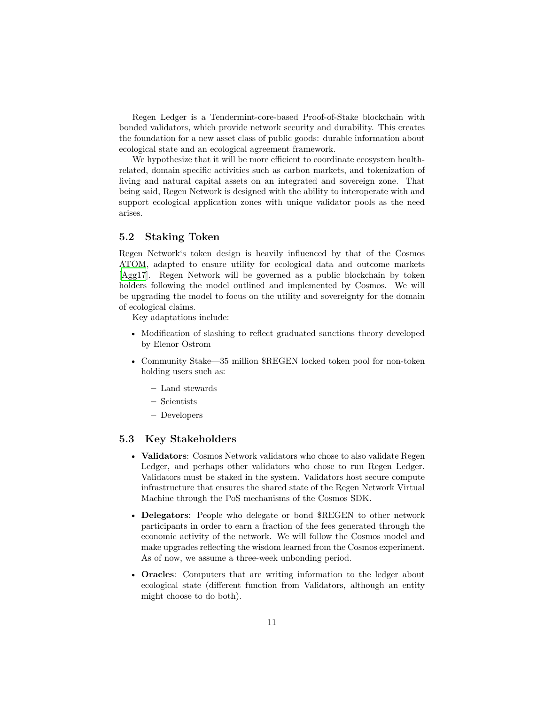Regen Ledger is a Tendermint-core-based Proof-of-Stake blockchain with bonded validators, which provide network security and durability. This creates the foundation for a new asset class of public goods: durable information about ecological state and an ecological agreement framework.

We hypothesize that it will be more efficient to coordinate ecosystem healthrelated, domain specific activities such as carbon markets, and tokenization of living and natural capital assets on an integrated and sovereign zone. That being said, Regen Network is designed with the ability to interoperate with and support ecological application zones with unique validator pools as the need arises.

#### <span id="page-10-0"></span>**5.2 Staking Token**

Regen Network's token design is heavily influenced by that of the Cosmos ATOM, adapted to ensure utility for ecological data and outcome markets [[Agg17\]](#page-23-5). Regen Network will be governed as a public blockchain by token holders following the model outlined and implemented by Cosmos. We will be upgrading the model to focus on the utility and sovereignty for the domain of ecological claims.

Key adaptations include:

- Modification of slashing to reflect graduated sanctions theory developed by Elenor Ostrom
- Community Stake—35 million \$REGEN locked token pool for non-token holding users such as:
	- **–** Land stewards
	- **–** Scientists
	- **–** Developers

#### <span id="page-10-1"></span>**5.3 Key Stakeholders**

- **Validators**: Cosmos Network validators who chose to also validate Regen Ledger, and perhaps other validators who chose to run Regen Ledger. Validators must be staked in the system. Validators host secure compute infrastructure that ensures the shared state of the Regen Network Virtual Machine through the PoS mechanisms of the Cosmos SDK.
- **Delegators**: People who delegate or bond \$REGEN to other network participants in order to earn a fraction of the fees generated through the economic activity of the network. We will follow the Cosmos model and make upgrades reflecting the wisdom learned from the Cosmos experiment. As of now, we assume a three-week unbonding period.
- **Oracles**: Computers that are writing information to the ledger about ecological state (different function from Validators, although an entity might choose to do both).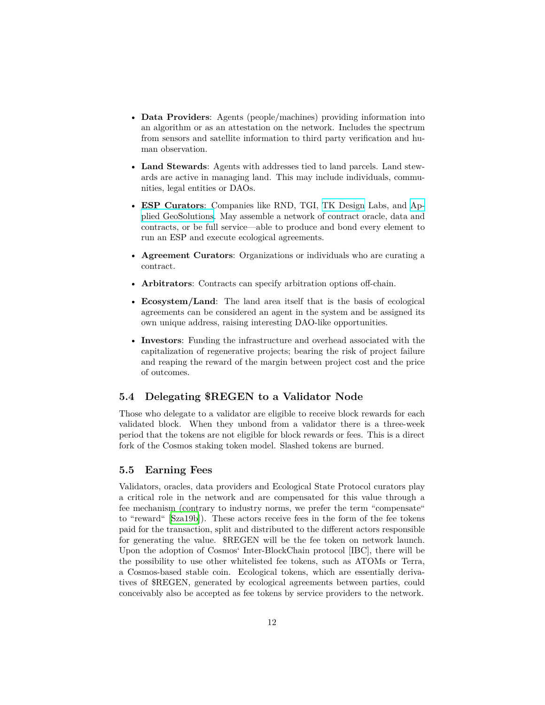- **Data Providers**: Agents (people/machines) providing information into an algorithm or as an attestation on the network. Includes the spectrum from sensors and satellite information to third party verification and human observation.
- **Land Stewards**: Agents with addresses tied to land parcels. Land stewards are active in managing land. This may include individuals, communities, legal entities or DAOs.
- **ESP Curators**: Companies like RND, TGI, [TK Design](https://www.tkdesignlab.com/) Labs, and [Ap](http://www.appliedgeosolutions.com)[plied GeoSolutions](http://www.appliedgeosolutions.com). May assemble a network of contract oracle, data and contracts, or be full service—able to produce and bond every element to run an ESP and execute ecological agreements.
- **Agreement Curators**: Organizations or individuals who are curating a contract.
- **Arbitrators**: Contracts can specify arbitration options off-chain.
- **Ecosystem/Land**: The land area itself that is the basis of ecological agreements can be considered an agent in the system and be assigned its own unique address, raising interesting DAO-like opportunities.
- **Investors**: Funding the infrastructure and overhead associated with the capitalization of regenerative projects; bearing the risk of project failure and reaping the reward of the margin between project cost and the price of outcomes.

### <span id="page-11-0"></span>**5.4 Delegating \$REGEN to a Validator Node**

Those who delegate to a validator are eligible to receive block rewards for each validated block. When they unbond from a validator there is a three-week period that the tokens are not eligible for block rewards or fees. This is a direct fork of the Cosmos staking token model. Slashed tokens are burned.

#### <span id="page-11-1"></span>**5.5 Earning Fees**

Validators, oracles, data providers and Ecological State Protocol curators play a critical role in the network and are compensated for this value through a fee mechanism (contrary to industry norms, we prefer the term "compensate" to "reward" [\[Sza19b\]](#page-24-4)). These actors receive fees in the form of the fee tokens paid for the transaction, split and distributed to the different actors responsible for generating the value. \$REGEN will be the fee token on network launch. Upon the adoption of Cosmos' Inter-BlockChain protocol [IBC], there will be the possibility to use other whitelisted fee tokens, such as ATOMs or Terra, a Cosmos-based stable coin. Ecological tokens, which are essentially derivatives of \$REGEN, generated by ecological agreements between parties, could conceivably also be accepted as fee tokens by service providers to the network.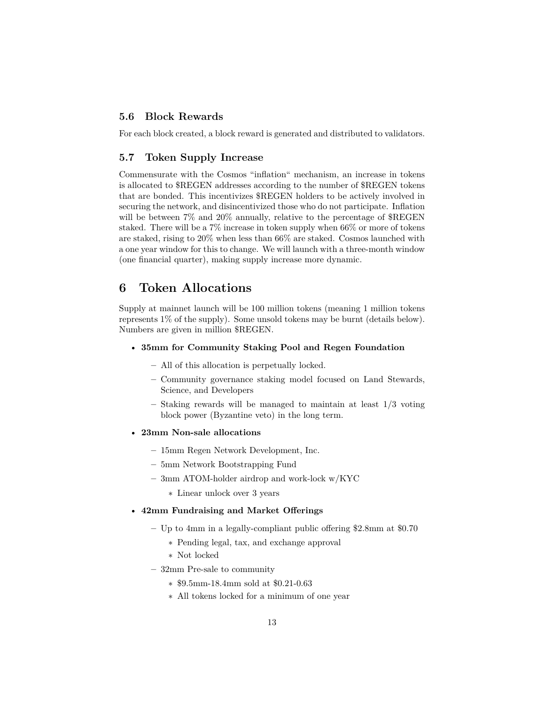### <span id="page-12-0"></span>**5.6 Block Rewards**

For each block created, a block reward is generated and distributed to validators.

#### <span id="page-12-1"></span>**5.7 Token Supply Increase**

Commensurate with the Cosmos "inflation" mechanism, an increase in tokens is allocated to \$REGEN addresses according to the number of \$REGEN tokens that are bonded. This incentivizes \$REGEN holders to be actively involved in securing the network, and disincentivized those who do not participate. Inflation will be between  $7\%$  and  $20\%$  annually, relative to the percentage of  $REGEN$ staked. There will be a 7% increase in token supply when 66% or more of tokens are staked, rising to 20% when less than 66% are staked. Cosmos launched with a one year window for this to change. We will launch with a three-month window (one financial quarter), making supply increase more dynamic.

# <span id="page-12-2"></span>**6 Token Allocations**

Supply at mainnet launch will be 100 million tokens (meaning 1 million tokens represents 1% of the supply). Some unsold tokens may be burnt (details below). Numbers are given in million \$REGEN.

#### • **35mm for Community Staking Pool and Regen Foundation**

- **–** All of this allocation is perpetually locked.
- **–** Community governance staking model focused on Land Stewards, Science, and Developers
- **–** Staking rewards will be managed to maintain at least 1/3 voting block power (Byzantine veto) in the long term.
- **23mm Non-sale allocations**
	- **–** 15mm Regen Network Development, Inc.
	- **–** 5mm Network Bootstrapping Fund
	- **–** 3mm ATOM-holder airdrop and work-lock w/KYC
		- ∗ Linear unlock over 3 years

#### • **42mm Fundraising and Market Offerings**

- **–** Up to 4mm in a legally-compliant public offering \$2.8mm at \$0.70
	- ∗ Pending legal, tax, and exchange approval
	- ∗ Not locked
- **–** 32mm Pre-sale to community
	- ∗ \$9.5mm-18.4mm sold at \$0.21-0.63
	- ∗ All tokens locked for a minimum of one year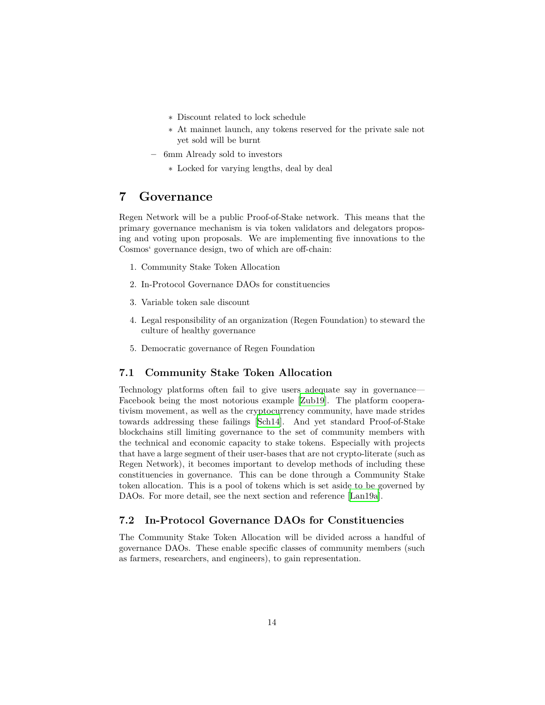- ∗ Discount related to lock schedule
- ∗ At mainnet launch, any tokens reserved for the private sale not yet sold will be burnt
- **–** 6mm Already sold to investors
	- ∗ Locked for varying lengths, deal by deal

# <span id="page-13-0"></span>**7 Governance**

Regen Network will be a public Proof-of-Stake network. This means that the primary governance mechanism is via token validators and delegators proposing and voting upon proposals. We are implementing five innovations to the Cosmos' governance design, two of which are off-chain:

- 1. Community Stake Token Allocation
- 2. In-Protocol Governance DAOs for constituencies
- 3. Variable token sale discount
- 4. Legal responsibility of an organization (Regen Foundation) to steward the culture of healthy governance
- 5. Democratic governance of Regen Foundation

#### <span id="page-13-1"></span>**7.1 Community Stake Token Allocation**

Technology platforms often fail to give users adequate say in governance— Facebook being the most notorious example [\[Zub19\]](#page-24-5). The platform cooperativism movement, as well as the cryptocurrency community, have made strides towards addressing these failings [\[Sch14](#page-23-6)]. And yet standard Proof-of-Stake blockchains still limiting governance to the set of community members with the technical and economic capacity to stake tokens. Especially with projects that have a large segment of their user-bases that are not crypto-literate (such as Regen Network), it becomes important to develop methods of including these constituencies in governance. This can be done through a Community Stake token allocation. This is a pool of tokens which is set aside to be governed by DAOs. For more detail, see the next section and reference [\[Lan19a](#page-23-7)].

### <span id="page-13-2"></span>**7.2 In-Protocol Governance DAOs for Constituencies**

The Community Stake Token Allocation will be divided across a handful of governance DAOs. These enable specific classes of community members (such as farmers, researchers, and engineers), to gain representation.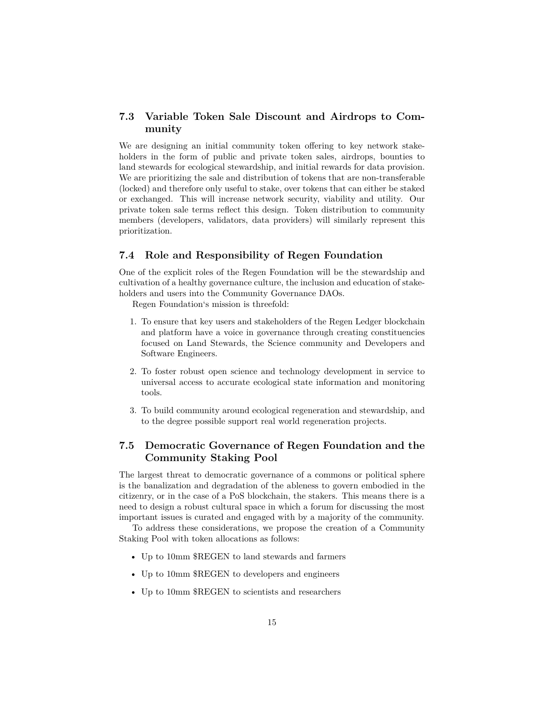### <span id="page-14-0"></span>**7.3 Variable Token Sale Discount and Airdrops to Community**

We are designing an initial community token offering to key network stakeholders in the form of public and private token sales, airdrops, bounties to land stewards for ecological stewardship, and initial rewards for data provision. We are prioritizing the sale and distribution of tokens that are non-transferable (locked) and therefore only useful to stake, over tokens that can either be staked or exchanged. This will increase network security, viability and utility. Our private token sale terms reflect this design. Token distribution to community members (developers, validators, data providers) will similarly represent this prioritization.

#### <span id="page-14-1"></span>**7.4 Role and Responsibility of Regen Foundation**

One of the explicit roles of the Regen Foundation will be the stewardship and cultivation of a healthy governance culture, the inclusion and education of stakeholders and users into the Community Governance DAOs.

Regen Foundation's mission is threefold:

- 1. To ensure that key users and stakeholders of the Regen Ledger blockchain and platform have a voice in governance through creating constituencies focused on Land Stewards, the Science community and Developers and Software Engineers.
- 2. To foster robust open science and technology development in service to universal access to accurate ecological state information and monitoring tools.
- 3. To build community around ecological regeneration and stewardship, and to the degree possible support real world regeneration projects.

### <span id="page-14-2"></span>**7.5 Democratic Governance of Regen Foundation and the Community Staking Pool**

The largest threat to democratic governance of a commons or political sphere is the banalization and degradation of the ableness to govern embodied in the citizenry, or in the case of a PoS blockchain, the stakers. This means there is a need to design a robust cultural space in which a forum for discussing the most important issues is curated and engaged with by a majority of the community.

To address these considerations, we propose the creation of a Community Staking Pool with token allocations as follows:

- Up to 10mm \$REGEN to land stewards and farmers
- Up to 10mm \$REGEN to developers and engineers
- Up to 10mm \$REGEN to scientists and researchers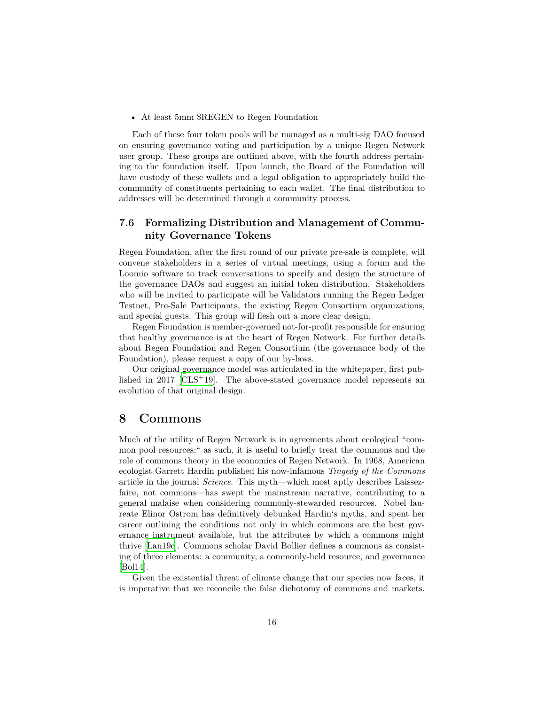• At least 5mm \$REGEN to Regen Foundation

Each of these four token pools will be managed as a multi-sig DAO focused on ensuring governance voting and participation by a unique Regen Network user group. These groups are outlined above, with the fourth address pertaining to the foundation itself. Upon launch, the Board of the Foundation will have custody of these wallets and a legal obligation to appropriately build the community of constituents pertaining to each wallet. The final distribution to addresses will be determined through a community process.

### <span id="page-15-0"></span>**7.6 Formalizing Distribution and Management of Community Governance Tokens**

Regen Foundation, after the first round of our private pre-sale is complete, will convene stakeholders in a series of virtual meetings, using a forum and the Loomio software to track conversations to specify and design the structure of the governance DAOs and suggest an initial token distribution. Stakeholders who will be invited to participate will be Validators running the Regen Ledger Testnet, Pre-Sale Participants, the existing Regen Consortium organizations, and special guests. This group will flesh out a more clear design.

Regen Foundation is member-governed not-for-profit responsible for ensuring that healthy governance is at the heart of Regen Network. For further details about Regen Foundation and Regen Consortium (the governance body of the Foundation), please request a copy of our by-laws.

Our original governance model was articulated in the whitepaper, first published in 2017 [ $CLS+19$  $CLS+19$ ]. The above-stated governance model represents an evolution of that original design.

## <span id="page-15-1"></span>**8 Commons**

Much of the utility of Regen Network is in agreements about ecological "common pool resources;" as such, it is useful to briefly treat the commons and the role of commons theory in the economics of Regen Network. In 1968, American ecologist Garrett Hardin published his now-infamous *Tragedy of the Commons* article in the journal *Science*. This myth—which most aptly describes Laissezfaire, not commons—has swept the mainstream narrative, contributing to a general malaise when considering commonly-stewarded resources. Nobel laureate Elinor Ostrom has definitively debunked Hardin's myths, and spent her career outlining the conditions not only in which commons are the best governance instrument available, but the attributes by which a commons might thrive [\[Lan19c](#page-23-9)]. Commons scholar David Bollier defines a commons as consisting of three elements: a community, a commonly-held resource, and governance [[Bol14](#page-23-10)].

Given the existential threat of climate change that our species now faces, it is imperative that we reconcile the false dichotomy of commons and markets.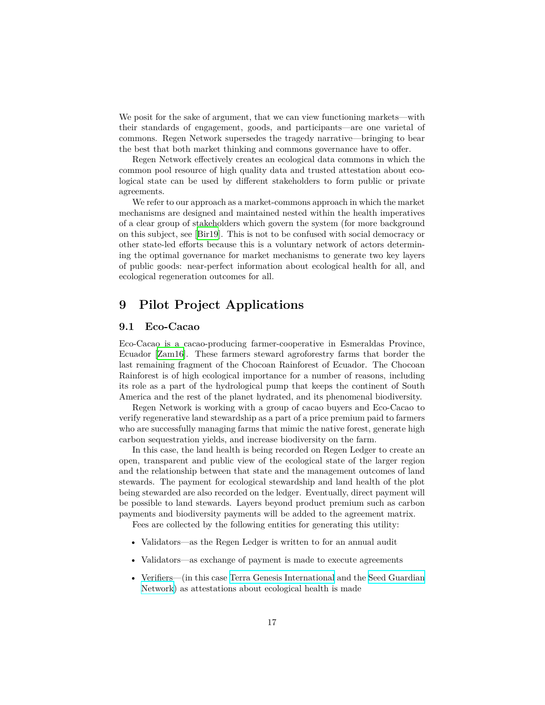We posit for the sake of argument, that we can view functioning markets—with their standards of engagement, goods, and participants—are one varietal of commons. Regen Network supersedes the tragedy narrative—bringing to bear the best that both market thinking and commons governance have to offer.

Regen Network effectively creates an ecological data commons in which the common pool resource of high quality data and trusted attestation about ecological state can be used by different stakeholders to form public or private agreements.

We refer to our approach as a market-commons approach in which the market mechanisms are designed and maintained nested within the health imperatives of a clear group of stakeholders which govern the system (for more background on this subject, see [[Bir19](#page-23-11)]. This is not to be confused with social democracy or other state-led efforts because this is a voluntary network of actors determining the optimal governance for market mechanisms to generate two key layers of public goods: near-perfect information about ecological health for all, and ecological regeneration outcomes for all.

# <span id="page-16-0"></span>**9 Pilot Project Applications**

#### <span id="page-16-1"></span>**9.1 Eco-Cacao**

Eco-Cacao is a cacao-producing farmer-cooperative in Esmeraldas Province, Ecuador [[Zam16](#page-24-6)]. These farmers steward agroforestry farms that border the last remaining fragment of the Chocoan Rainforest of Ecuador. The Chocoan Rainforest is of high ecological importance for a number of reasons, including its role as a part of the hydrological pump that keeps the continent of South America and the rest of the planet hydrated, and its phenomenal biodiversity.

Regen Network is working with a group of cacao buyers and Eco-Cacao to verify regenerative land stewardship as a part of a price premium paid to farmers who are successfully managing farms that mimic the native forest, generate high carbon sequestration yields, and increase biodiversity on the farm.

In this case, the land health is being recorded on Regen Ledger to create an open, transparent and public view of the ecological state of the larger region and the relationship between that state and the management outcomes of land stewards. The payment for ecological stewardship and land health of the plot being stewarded are also recorded on the ledger. Eventually, direct payment will be possible to land stewards. Layers beyond product premium such as carbon payments and biodiversity payments will be added to the agreement matrix.

Fees are collected by the following entities for generating this utility:

- Validators—as the Regen Ledger is written to for an annual audit
- Validators—as exchange of payment is made to execute agreements
- Verifiers—(in this case [Terra Genesis International](http://www.terra-genesis.com/) and the [Seed Guardian](http://redsemillas.org/) [Network](http://redsemillas.org/)) as attestations about ecological health is made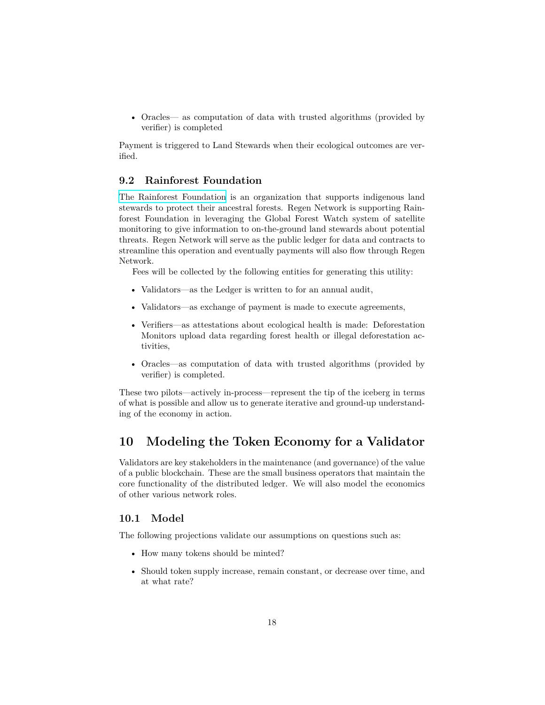• Oracles— as computation of data with trusted algorithms (provided by verifier) is completed

Payment is triggered to Land Stewards when their ecological outcomes are verified.

#### <span id="page-17-0"></span>**9.2 Rainforest Foundation**

[The Rainforest Foundation](https://rainforestfoundation.org) is an organization that supports indigenous land stewards to protect their ancestral forests. Regen Network is supporting Rainforest Foundation in leveraging the Global Forest Watch system of satellite monitoring to give information to on-the-ground land stewards about potential threats. Regen Network will serve as the public ledger for data and contracts to streamline this operation and eventually payments will also flow through Regen Network.

Fees will be collected by the following entities for generating this utility:

- Validators—as the Ledger is written to for an annual audit,
- Validators—as exchange of payment is made to execute agreements,
- Verifiers—as attestations about ecological health is made: Deforestation Monitors upload data regarding forest health or illegal deforestation activities,
- Oracles—as computation of data with trusted algorithms (provided by verifier) is completed.

These two pilots—actively in-process—represent the tip of the iceberg in terms of what is possible and allow us to generate iterative and ground-up understanding of the economy in action.

## <span id="page-17-1"></span>**10 Modeling the Token Economy for a Validator**

Validators are key stakeholders in the maintenance (and governance) of the value of a public blockchain. These are the small business operators that maintain the core functionality of the distributed ledger. We will also model the economics of other various network roles.

### <span id="page-17-2"></span>**10.1 Model**

The following projections validate our assumptions on questions such as:

- How many tokens should be minted?
- Should token supply increase, remain constant, or decrease over time, and at what rate?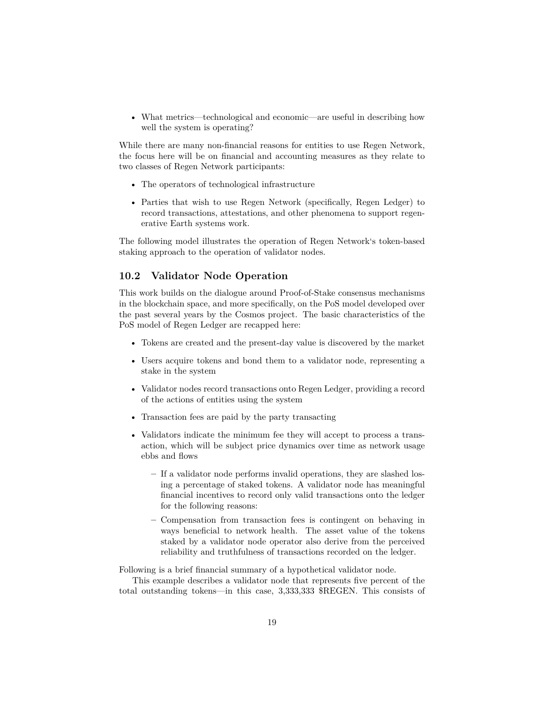• What metrics—technological and economic—are useful in describing how well the system is operating?

While there are many non-financial reasons for entities to use Regen Network, the focus here will be on financial and accounting measures as they relate to two classes of Regen Network participants:

- The operators of technological infrastructure
- Parties that wish to use Regen Network (specifically, Regen Ledger) to record transactions, attestations, and other phenomena to support regenerative Earth systems work.

The following model illustrates the operation of Regen Network's token-based staking approach to the operation of validator nodes.

### <span id="page-18-0"></span>**10.2 Validator Node Operation**

This work builds on the dialogue around Proof-of-Stake consensus mechanisms in the blockchain space, and more specifically, on the PoS model developed over the past several years by the Cosmos project. The basic characteristics of the PoS model of Regen Ledger are recapped here:

- Tokens are created and the present-day value is discovered by the market
- Users acquire tokens and bond them to a validator node, representing a stake in the system
- Validator nodes record transactions onto Regen Ledger, providing a record of the actions of entities using the system
- Transaction fees are paid by the party transacting
- Validators indicate the minimum fee they will accept to process a transaction, which will be subject price dynamics over time as network usage ebbs and flows
	- **–** If a validator node performs invalid operations, they are slashed losing a percentage of staked tokens. A validator node has meaningful financial incentives to record only valid transactions onto the ledger for the following reasons:
	- **–** Compensation from transaction fees is contingent on behaving in ways beneficial to network health. The asset value of the tokens staked by a validator node operator also derive from the perceived reliability and truthfulness of transactions recorded on the ledger.

Following is a brief financial summary of a hypothetical validator node.

This example describes a validator node that represents five percent of the total outstanding tokens—in this case, 3,333,333 \$REGEN. This consists of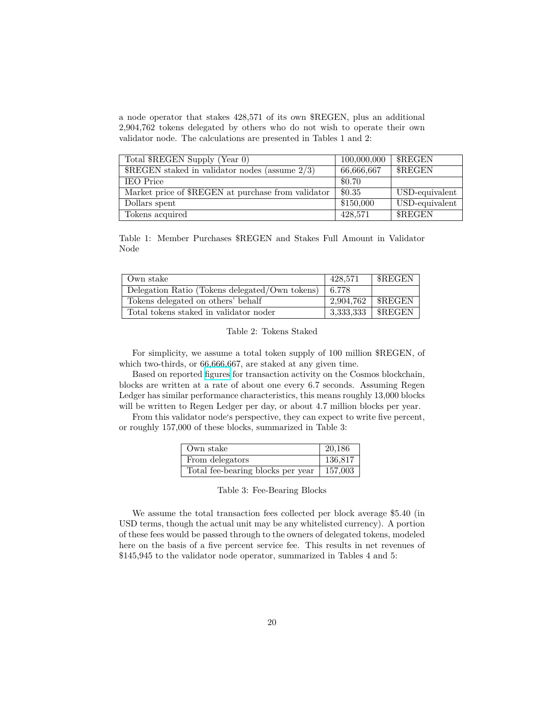a node operator that stakes 428,571 of its own \$REGEN, plus an additional 2,904,762 tokens delegated by others who do not wish to operate their own validator node. The calculations are presented in Tables 1 and 2:

| Total \$REGEN Supply (Year 0)                                   | 100,000,000 | \$REGEN        |
|-----------------------------------------------------------------|-------------|----------------|
| $\sqrt{\text{REGEN}}$ staked in validator nodes (assume $2/3$ ) | 66,666,667  | \$REGEN        |
| <b>IEO</b> Price                                                | \$0.70      |                |
| Market price of \$REGEN at purchase from validator              | \$0.35      | USD-equivalent |
| Dollars spent                                                   | \$150,000   | USD-equivalent |
| Tokens acquired                                                 | 428,571     | \$REGEN        |

Table 1: Member Purchases \$REGEN and Stakes Full Amount in Validator Node

| Own stake                                      | 428.571   | <b>SREGEN</b>      |
|------------------------------------------------|-----------|--------------------|
| Delegation Ratio (Tokens delegated/Own tokens) | 6.778     |                    |
| Tokens delegated on others' behalf             | 2.904.762 | \$REGEN            |
| Total tokens staked in validator noder         |           | $3,333,333$ SREGEN |

<span id="page-19-1"></span><span id="page-19-0"></span>Table 2: Tokens Staked

For simplicity, we assume a total token supply of 100 million \$REGEN, of which two-thirds, or 66,666,667, are staked at any given time.

Based on reported [figures](https://www.mintscan.io/validators) for transaction activity on the Cosmos blockchain, blocks are written at a rate of about one every 6.7 seconds. Assuming Regen Ledger has similar performance characteristics, this means roughly 13,000 blocks will be written to Regen Ledger per day, or about 4.7 million blocks per year.

From this validator node's perspective, they can expect to write five percent, or roughly 157,000 of these blocks, summarized in Table 3:

| Own stake                         | 20,186  |
|-----------------------------------|---------|
| From delegators                   | 136,817 |
| Total fee-bearing blocks per year | 157,003 |

<span id="page-19-2"></span>Table 3: Fee-Bearing Blocks

We assume the total transaction fees collected per block average \$5.40 (in USD terms, though the actual unit may be any whitelisted currency). A portion of these fees would be passed through to the owners of delegated tokens, modeled here on the basis of a five percent service fee. This results in net revenues of \$145,945 to the validator node operator, summarized in Tables 4 and 5: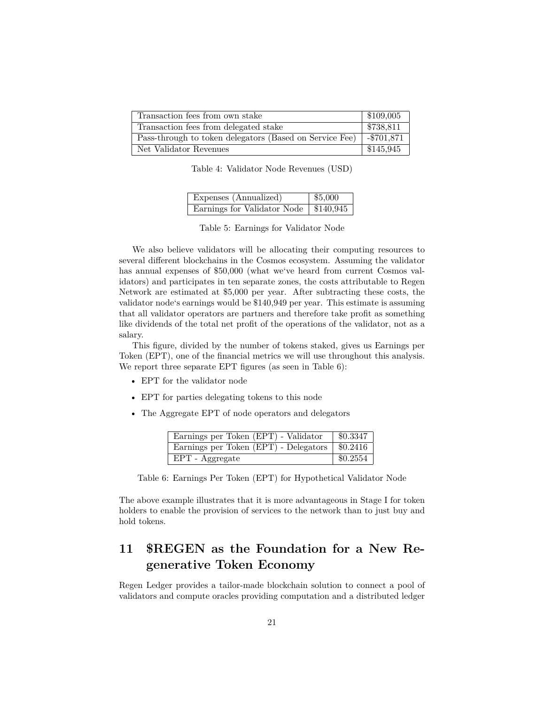| Transaction fees from own stake                         | \$109,005    |
|---------------------------------------------------------|--------------|
| Transaction fees from delegated stake                   | \$738,811    |
| Pass-through to token delegators (Based on Service Fee) | $- $701,871$ |
| Net Validator Revenues                                  | \$145,945    |

<span id="page-20-1"></span>Table 4: Validator Node Revenues (USD)

| Expenses (Annualized)                   | \$5,000 |
|-----------------------------------------|---------|
| Earnings for Validator Node   \$140,945 |         |

<span id="page-20-2"></span>Table 5: Earnings for Validator Node

We also believe validators will be allocating their computing resources to several different blockchains in the Cosmos ecosystem. Assuming the validator has annual expenses of \$50,000 (what we've heard from current Cosmos validators) and participates in ten separate zones, the costs attributable to Regen Network are estimated at \$5,000 per year. After subtracting these costs, the validator node's earnings would be \$140,949 per year. This estimate is assuming that all validator operators are partners and therefore take profit as something like dividends of the total net profit of the operations of the validator, not as a salary.

This figure, divided by the number of tokens staked, gives us Earnings per Token (EPT), one of the financial metrics we will use throughout this analysis. We report three separate EPT figures (as seen in Table 6):

- EPT for the validator node
- EPT for parties delegating tokens to this node
- The Aggregate EPT of node operators and delegators

<span id="page-20-3"></span>

| Earnings per Token (EPT) - Validator                     | \$0.3347 |
|----------------------------------------------------------|----------|
| Earnings per Token (EPT) - Delegators $\sqrt{\$0.2416\}$ |          |
| EPT - Aggregate                                          | \$0.2554 |

Table 6: Earnings Per Token (EPT) for Hypothetical Validator Node

The above example illustrates that it is more advantageous in Stage I for token holders to enable the provision of services to the network than to just buy and hold tokens.

# <span id="page-20-0"></span>**11 \$REGEN as the Foundation for a New Regenerative Token Economy**

Regen Ledger provides a tailor-made blockchain solution to connect a pool of validators and compute oracles providing computation and a distributed ledger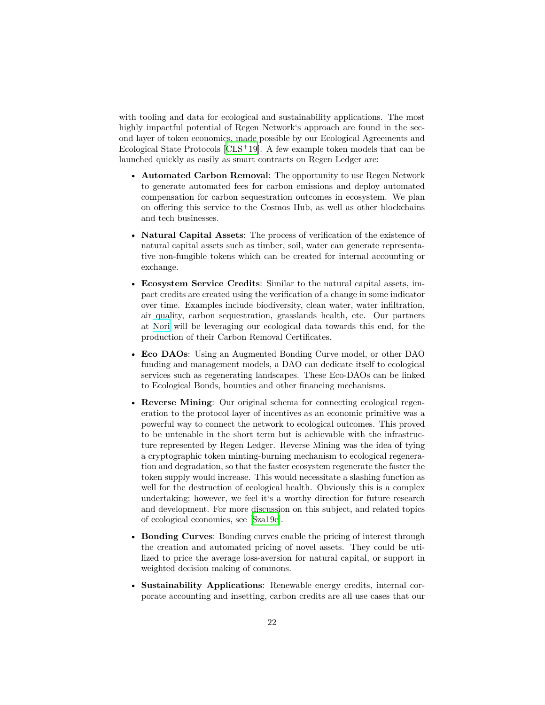with tooling and data for ecological and sustainability applications. The most highly impactful potential of Regen Network's approach are found in the second layer of token economics, made possible by our Ecological Agreements and Ecological State Protocols  $[CLS + 19]$  $[CLS + 19]$  $[CLS + 19]$ . A few example token models that can be launched quickly as easily as smart contracts on Regen Ledger are:

- **Automated Carbon Removal**: The opportunity to use Regen Network to generate automated fees for carbon emissions and deploy automated compensation for carbon sequestration outcomes in ecosystem. We plan on offering this service to the Cosmos Hub, as well as other blockchains and tech businesses.
- **Natural Capital Assets**: The process of verification of the existence of natural capital assets such as timber, soil, water can generate representative non-fungible tokens which can be created for internal accounting or exchange.
- **Ecosystem Service Credits**: Similar to the natural capital assets, impact credits are created using the verification of a change in some indicator over time. Examples include biodiversity, clean water, water infiltration, air quality, carbon sequestration, grasslands health, etc. Our partners at [Nori](https://nori.com/) will be leveraging our ecological data towards this end, for the production of their Carbon Removal Certificates.
- **Eco DAOs**: Using an Augmented Bonding Curve model, or other DAO funding and management models, a DAO can dedicate itself to ecological services such as regenerating landscapes. These Eco-DAOs can be linked to Ecological Bonds, bounties and other financing mechanisms.
- **Reverse Mining**: Our original schema for connecting ecological regeneration to the protocol layer of incentives as an economic primitive was a powerful way to connect the network to ecological outcomes. This proved to be untenable in the short term but is achievable with the infrastructure represented by Regen Ledger. Reverse Mining was the idea of tying a cryptographic token minting-burning mechanism to ecological regeneration and degradation, so that the faster ecosystem regenerate the faster the token supply would increase. This would necessitate a slashing function as well for the destruction of ecological health. Obviously this is a complex undertaking; however, we feel it's a worthy direction for future research and development. For more discussion on this subject, and related topics of ecological economics, see [[Sza19c\]](#page-24-7).
- **Bonding Curves**: Bonding curves enable the pricing of interest through the creation and automated pricing of novel assets. They could be utilized to price the average loss-aversion for natural capital, or support in weighted decision making of commons.
- **Sustainability Applications**: Renewable energy credits, internal corporate accounting and insetting, carbon credits are all use cases that our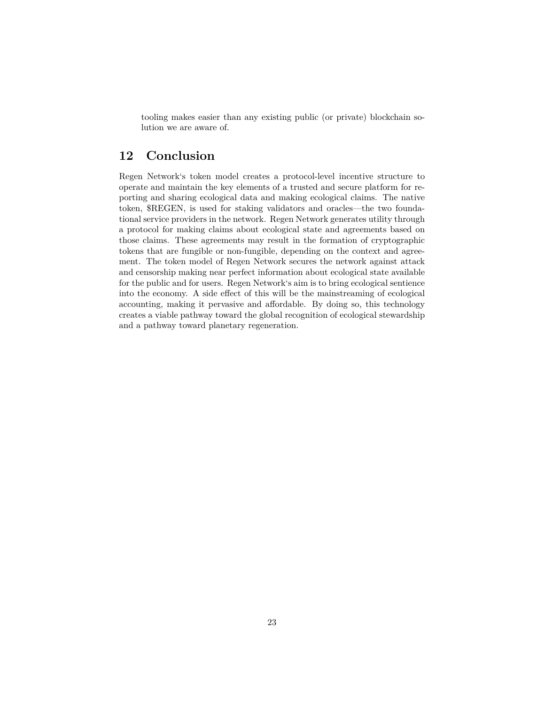tooling makes easier than any existing public (or private) blockchain solution we are aware of.

# <span id="page-22-0"></span>**12 Conclusion**

Regen Network's token model creates a protocol-level incentive structure to operate and maintain the key elements of a trusted and secure platform for reporting and sharing ecological data and making ecological claims. The native token, \$REGEN, is used for staking validators and oracles—the two foundational service providers in the network. Regen Network generates utility through a protocol for making claims about ecological state and agreements based on those claims. These agreements may result in the formation of cryptographic tokens that are fungible or non-fungible, depending on the context and agreement. The token model of Regen Network secures the network against attack and censorship making near perfect information about ecological state available for the public and for users. Regen Network's aim is to bring ecological sentience into the economy. A side effect of this will be the mainstreaming of ecological accounting, making it pervasive and affordable. By doing so, this technology creates a viable pathway toward the global recognition of ecological stewardship and a pathway toward planetary regeneration.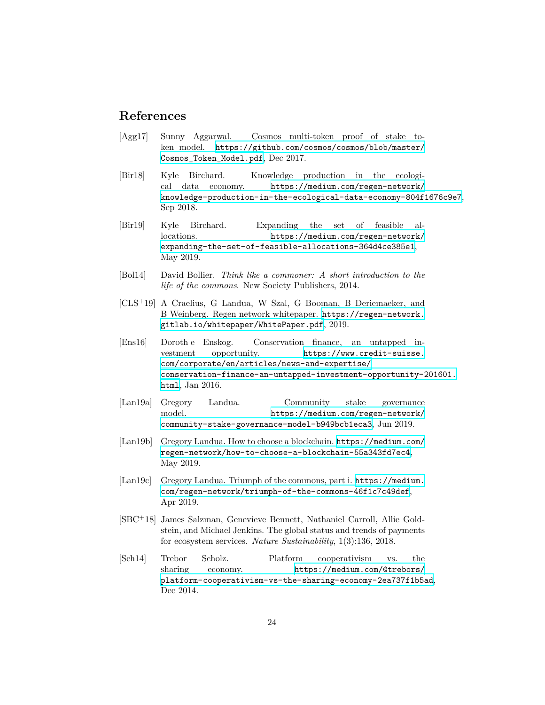## <span id="page-23-0"></span>**References**

- <span id="page-23-5"></span>[Agg17] Sunny Aggarwal. Cosmos multi-token proof of stake token model. [https://github.com/cosmos/cosmos/blob/master/](https://github.com/cosmos/cosmos/blob/master/Cosmos_Token_Model.pdf) [Cosmos\\_Token\\_Model.pdf](https://github.com/cosmos/cosmos/blob/master/Cosmos_Token_Model.pdf), Dec 2017.
- <span id="page-23-3"></span>[Bir18] Kyle Birchard. Knowledge production in the ecological data economy. [https://medium.com/regen-network/](https://medium.com/regen-network/knowledge-production-in-the-ecological-data-economy-804f1676c9e7) [knowledge-production-in-the-ecological-data-economy-804f1676c9e7](https://medium.com/regen-network/knowledge-production-in-the-ecological-data-economy-804f1676c9e7), Sep 2018.
- <span id="page-23-11"></span>[Bir19] Kyle Birchard. Expanding the set of feasible allocations. [https://medium.com/regen-network/](https://medium.com/regen-network/expanding-the-set-of-feasible-allocations-364d4ce385e1) [expanding-the-set-of-feasible-allocations-364d4ce385e1](https://medium.com/regen-network/expanding-the-set-of-feasible-allocations-364d4ce385e1), May 2019.
- <span id="page-23-10"></span>[Bol14] David Bollier. *Think like a commoner: A short introduction to the life of the commons*. New Society Publishers, 2014.
- <span id="page-23-8"></span>[CLS+19] A Craelius, G Landua, W Szal, G Booman, B Deriemaeker, and B Weinberg. Regen network whitepaper. [https://regen-network.](https://regen-network.gitlab.io/whitepaper/WhitePaper.pdf) [gitlab.io/whitepaper/WhitePaper.pdf](https://regen-network.gitlab.io/whitepaper/WhitePaper.pdf), 2019.
- <span id="page-23-2"></span>[Ens16] Dorothe Enskog. Conservation finance, an untapped investment opportunity. [https://www.credit-suisse.](https://www.credit-suisse.com/corporate/en/articles/news-and-expertise/conservation-finance-an-untapped-investment-opportunity-201601.html) [com/corporate/en/articles/news-and-expertise/](https://www.credit-suisse.com/corporate/en/articles/news-and-expertise/conservation-finance-an-untapped-investment-opportunity-201601.html) [conservation-finance-an-untapped-investment-opportunity-201601.](https://www.credit-suisse.com/corporate/en/articles/news-and-expertise/conservation-finance-an-untapped-investment-opportunity-201601.html) [html](https://www.credit-suisse.com/corporate/en/articles/news-and-expertise/conservation-finance-an-untapped-investment-opportunity-201601.html), Jan 2016.
- <span id="page-23-7"></span>[Lan19a] Gregory Landua. Community stake governance model. [https://medium.com/regen-network/](https://medium.com/regen-network/community-stake-governance-model-b949bcb1eca3) [community-stake-governance-model-b949bcb1eca3](https://medium.com/regen-network/community-stake-governance-model-b949bcb1eca3), Jun 2019.
- <span id="page-23-4"></span>[Lan19b] Gregory Landua. How to choose a blockchain. [https://medium.com/](https://medium.com/regen-network/how-to-choose-a-blockchain-55a343fd7ec4) [regen-network/how-to-choose-a-blockchain-55a343fd7ec4](https://medium.com/regen-network/how-to-choose-a-blockchain-55a343fd7ec4), May 2019.
- <span id="page-23-9"></span>[Lan19c] Gregory Landua. Triumph of the commons, part i. [https://medium.](https://medium.com/regen-network/triumph-of-the-commons-46f1c7c49def) [com/regen-network/triumph-of-the-commons-46f1c7c49def](https://medium.com/regen-network/triumph-of-the-commons-46f1c7c49def), Apr 2019.
- <span id="page-23-1"></span>[SBC<sup>+</sup>18] James Salzman, Genevieve Bennett, Nathaniel Carroll, Allie Goldstein, and Michael Jenkins. The global status and trends of payments for ecosystem services. *Nature Sustainability*, 1(3):136, 2018.
- <span id="page-23-6"></span>[Sch14] Trebor Scholz. Platform cooperativism vs. the sharing economy. [https://medium.com/@trebors/](https://medium.com/@trebors/platform-cooperativism-vs-the-sharing-economy-2ea737f1b5ad) [platform-cooperativism-vs-the-sharing-economy-2ea737f1b5ad](https://medium.com/@trebors/platform-cooperativism-vs-the-sharing-economy-2ea737f1b5ad), Dec 2014.